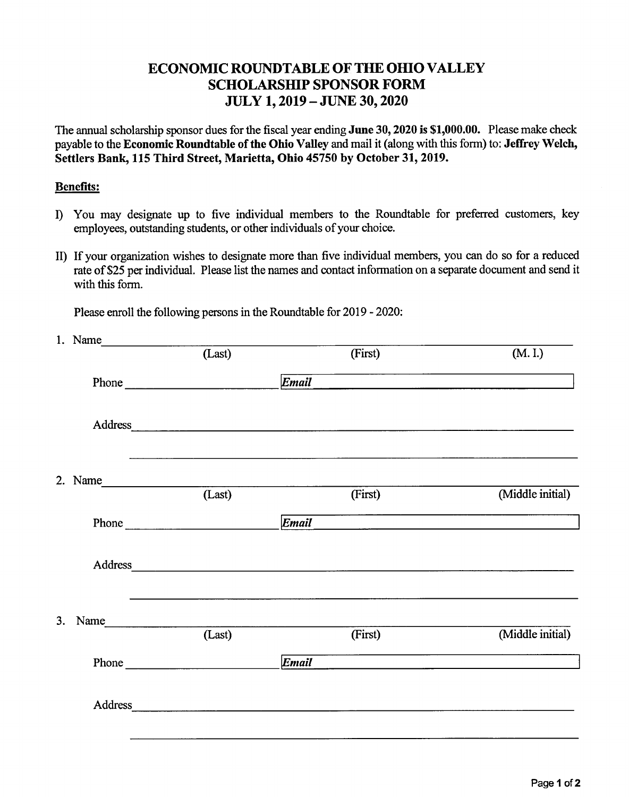## ECONOMIC ROUNDTABLE OF THE OHIO VALLEY SCHOLARSHIP SPONSOR FORM JULY 1,2019 -JUNE 30,2020

The annual scholarship sponsor dues forthe fiscal year ending **June 30,2020 is \$1,000.00.** Please make check payable to the *Economic Roundtable* of the Ohio Valley and mail it (along with this form) to: Jeffrey Welch, **Settlers Bank, 115 Third Street, Marietta, Ohio 45750 by October 31,2019.**

## **Benefits:**

- **I)** You may designate up to five individual members to the Roundtable for preferred customers, key employees, outstanding students, or other individuals of your choice.
- II) If your organization wishes to designate more than five individual members, you can do so for a reduced rate of \$25 per individual. Please list the names and contact information on a separate document and send it with this form.

Please enroll the following persons in the Roundtable for 2019 - 2020:

|    | 1. Name          |        |         |                                                                                                 |
|----|------------------|--------|---------|-------------------------------------------------------------------------------------------------|
|    |                  | (Last) | (First) | (M. I.)                                                                                         |
|    |                  | Phone  | Email   | the contract of the contract of the contract of the contract of the contract of the contract of |
|    |                  |        |         |                                                                                                 |
|    | 2. Name $(Last)$ |        |         |                                                                                                 |
|    |                  |        | (First) | (Middle initial)                                                                                |
|    |                  | Phone  | Email   |                                                                                                 |
|    |                  |        |         |                                                                                                 |
| 3. | Name             |        |         |                                                                                                 |
|    |                  | (Last) | (First) | (Middle initial)                                                                                |
|    |                  |        | Email   |                                                                                                 |
|    |                  |        | Address |                                                                                                 |
|    |                  |        |         |                                                                                                 |